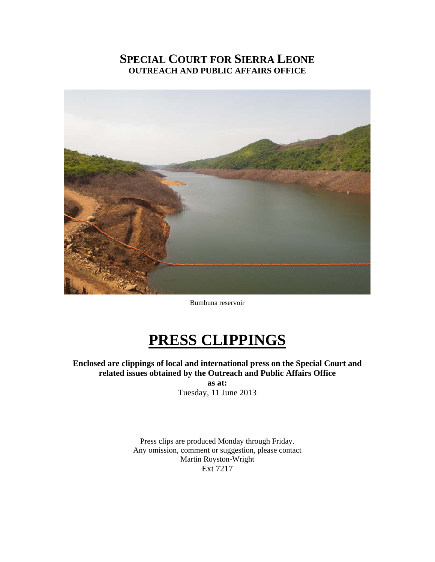# **SPECIAL COURT FOR SIERRA LEONE OUTREACH AND PUBLIC AFFAIRS OFFICE**



Bumbuna reservoir

# **PRESS CLIPPINGS**

**Enclosed are clippings of local and international press on the Special Court and related issues obtained by the Outreach and Public Affairs Office as at:** 

Tuesday, 11 June 2013

Press clips are produced Monday through Friday. Any omission, comment or suggestion, please contact Martin Royston-Wright Ext 7217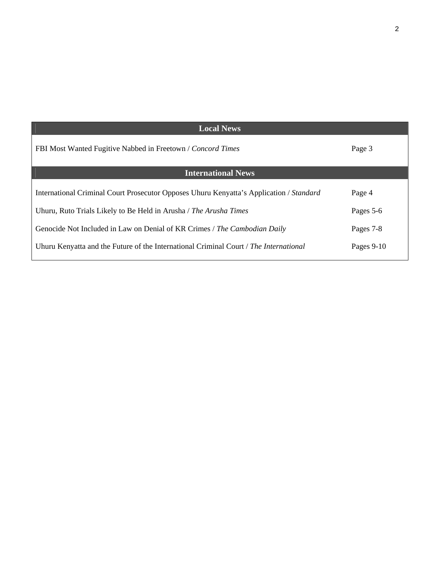| <b>Local News</b>                                                                       |            |
|-----------------------------------------------------------------------------------------|------------|
| FBI Most Wanted Fugitive Nabbed in Freetown / Concord Times                             | Page 3     |
| <b>International News</b>                                                               |            |
| International Criminal Court Prosecutor Opposes Uhuru Kenyatta's Application / Standard | Page 4     |
| Uhuru, Ruto Trials Likely to Be Held in Arusha / The Arusha Times                       | Pages 5-6  |
| Genocide Not Included in Law on Denial of KR Crimes / The Cambodian Daily               | Pages 7-8  |
| Uhuru Kenyatta and the Future of the International Criminal Court / The International   | Pages 9-10 |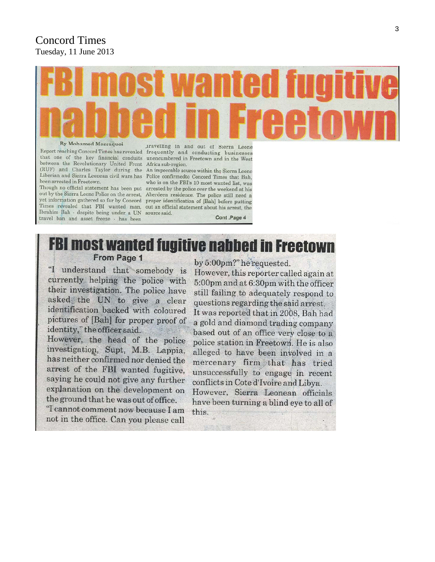# Concord Times Tuesday, 11 June 2013

#### **By Mohamed Massaquoi**

between the Revolutionary United Front Africa sub-region. (RUF) and Charles Taylor during the An impeccable source within the Sierra Leone been arrested in Freetown.

Ibrahim Bah - despite being under a UN source said. travel ban and asset freeze - has been

travelling in and out of Sierra Leone Report reaching Concord Times has revealed frequently and conducting businesses that one of the key financial conduits unencumbered in Freetown and in the West

Liberian and Sierra Leonean civil wars has Police confirmedto Concord Times that Bah, who is on the FBI's 10 most wanted list, was Though no official statement has been put arrested by the police over the weekend at his out by the Sierra Leone Police on the arrest, Aberdeen residence. The police still need a yet information gathered so far by Concord proper identification of [Bah] before putting Times revealed that FBI wanted man, out an official statement about his arrest, the Cont .Page 4

# **FBI most wanted fugitive nabbed in Freetown** From Page 1

"I understand that somebody is currently helping the police with their investigation. The police have asked the UN to give a clear identification backed with coloured pictures of [Bah] for proper proof of identity," the officer said.

However, the head of the police investigation, Supt. M.B. Lappia. has neither confirmed nor denied the arrest of the FBI wanted fugitive, saying he could not give any further explanation on the development on the ground that he was out of office.

"I cannot comment now because I am not in the office. Can you please call by 5:00pm?" he requested.

However, this reporter called again at 5:00pm and at 6:30pm with the officer still failing to adequately respond to questions regarding the said arrest. It was reported that in 2008, Bah had a gold and diamond trading company based out of an office very close to a police station in Freetown. He is also alleged to have been involved in a mercenary firm that has tried unsuccessfully to engage in recent conflicts in Cote d'Ivoire and Libya. However, Sierra Leonean officials

have been turning a blind eye to all of this.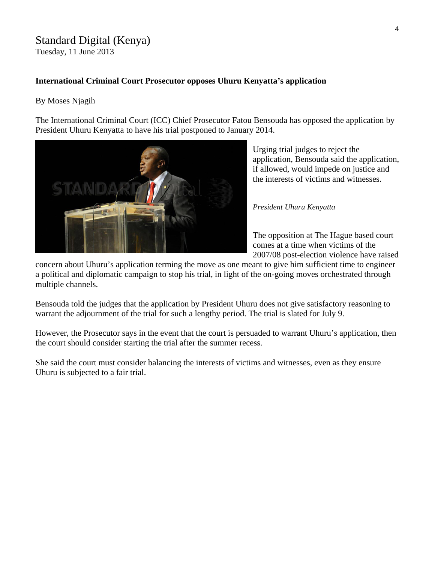# Standard Digital (Kenya)

Tuesday, 11 June 2013

#### **International Criminal Court Prosecutor opposes Uhuru Kenyatta's application**

#### By Moses Njagih

The International Criminal Court (ICC) Chief Prosecutor Fatou Bensouda has opposed the application by President Uhuru Kenyatta to have his trial postponed to January 2014.



Urging trial judges to reject the application, Bensouda said the a pplication, if allowed, would impede on justice and the interests of victims and witnesses.

#### *resident Uhuru Kenyatta P*

The opposition at The Hague based court 2007/08 post-election violence have raised comes at a time when victims of the

concern about Uhuru's application terming the move as one meant to give him sufficient time to engineer a political and diplomatic campaign to stop his trial, in light of the on-going moves orchestrated through multiple channels.

Bensouda told the judges that the application by President Uhuru does not give satisfactory reasoning to warrant the adjournment of the trial for such a lengthy period. The trial is slated for July 9.

However, the Prosecutor says in the event that the court is persuaded to warrant Uhuru's application, then the court should consider starting the trial after the summer recess.

She said the court must consider balancing the interests of victims and witnesses, even as they ensure Uhuru is subjected to a fair trial.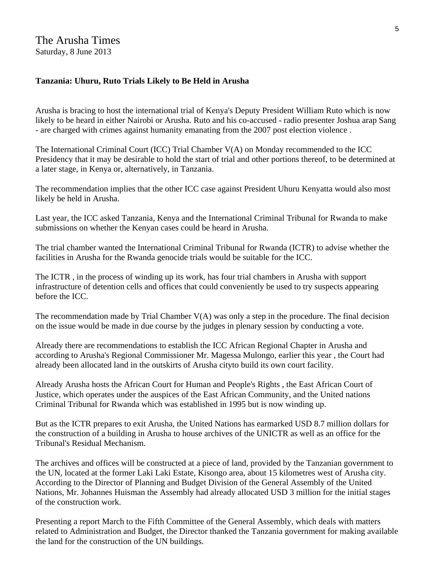#### **Tanzania: Uhuru, Ruto Trials Likely to Be Held in Arusha**

Arusha is bracing to host the international trial of Kenya's Deputy President William Ruto which is now likely to be heard in either Nairobi or Arusha. Ruto and his co-accused - radio presenter Joshua arap Sang - are charged with crimes against humanity emanating from the 2007 post election violence .

The International Criminal Court (ICC) Trial Chamber V(A) on Monday recommended to the ICC Presidency that it may be desirable to hold the start of trial and other portions thereof, to be determined at a later stage, in Kenya or, alternatively, in Tanzania.

The recommendation implies that the other ICC case against President Uhuru Kenyatta would also most likely be held in Arusha.

Last year, the ICC asked Tanzania, Kenya and the International Criminal Tribunal for Rwanda to make submissions on whether the Kenyan cases could be heard in Arusha.

The trial chamber wanted the International Criminal Tribunal for Rwanda (ICTR) to advise whether the facilities in Arusha for the Rwanda genocide trials would be suitable for the ICC.

The ICTR , in the process of winding up its work, has four trial chambers in Arusha with support infrastructure of detention cells and offices that could conveniently be used to try suspects appearing before the ICC.

The recommendation made by Trial Chamber V(A) was only a step in the procedure. The final decision on the issue would be made in due course by the judges in plenary session by conducting a vote.

Already there are recommendations to establish the ICC African Regional Chapter in Arusha and according to Arusha's Regional Commissioner Mr. Magessa Mulongo, earlier this year , the Court had already been allocated land in the outskirts of Arusha cityto build its own court facility.

Already Arusha hosts the African Court for Human and People's Rights , the East African Court of Justice, which operates under the auspices of the East African Community, and the United nations Criminal Tribunal for Rwanda which was established in 1995 but is now winding up.

But as the ICTR prepares to exit Arusha, the United Nations has earmarked USD 8.7 million dollars for the construction of a building in Arusha to house archives of the UNICTR as well as an office for the Tribunal's Residual Mechanism.

The archives and offices will be constructed at a piece of land, provided by the Tanzanian government to the UN, located at the former Laki Laki Estate, Kisongo area, about 15 kilometres west of Arusha city. According to the Director of Planning and Budget Division of the General Assembly of the United Nations, Mr. Johannes Huisman the Assembly had already allocated USD 3 million for the initial stages of the construction work.

Presenting a report March to the Fifth Committee of the General Assembly, which deals with matters related to Administration and Budget, the Director thanked the Tanzania government for making available the land for the construction of the UN buildings.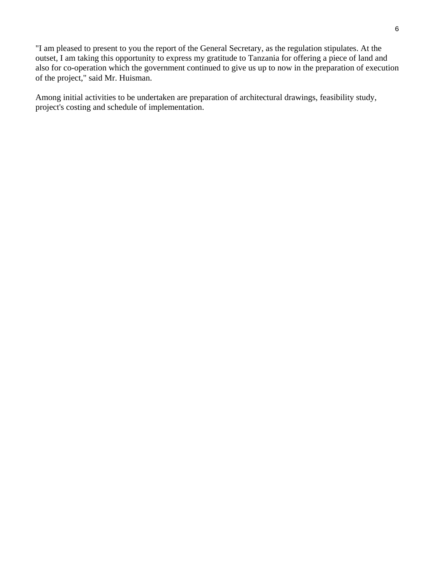"I am pleased to present to you the report of the General Secretary, as the regulation stipulates. At the outset, I am taking this opportunity to express my gratitude to Tanzania for offering a piece of land and also for co-operation which the government continued to give us up to now in the preparation of execution of the project," said Mr. Huisman.

Among initial activities to be undertaken are preparation of architectural drawings, feasibility study, project's costing and schedule of implementation.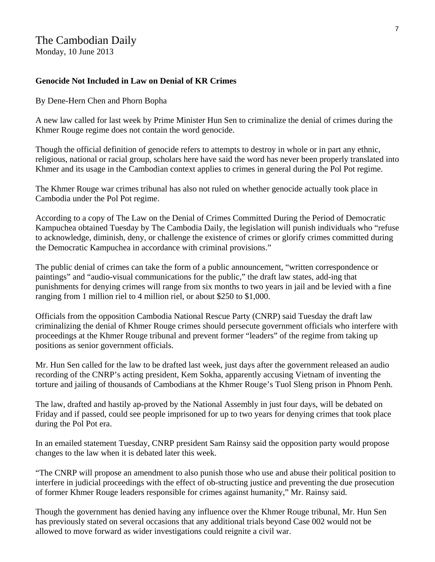## The Cambodian Daily

Monday, 10 June 2013

#### **Genocide Not Included in Law on Denial of KR Crimes**

By Dene-Hern Chen and Phorn Bopha

A new law called for last week by Prime Minister Hun Sen to criminalize the denial of crimes during the Khmer Rouge regime does not contain the word genocide.

Though the official definition of genocide refers to attempts to destroy in whole or in part any ethnic, religious, national or racial group, scholars here have said the word has never been properly translated into Khmer and its usage in the Cambodian context applies to crimes in general during the Pol Pot regime.

The Khmer Rouge war crimes tribunal has also not ruled on whether genocide actually took place in Cambodia under the Pol Pot regime.

According to a copy of The Law on the Denial of Crimes Committed During the Period of Democratic Kampuchea obtained Tuesday by The Cambodia Daily, the legislation will punish individuals who "refuse to acknowledge, diminish, deny, or challenge the existence of crimes or glorify crimes committed during the Democratic Kampuchea in accordance with criminal provisions."

The public denial of crimes can take the form of a public announcement, "written correspondence or paintings" and "audio-visual communications for the public," the draft law states, add-ing that punishments for denying crimes will range from six months to two years in jail and be levied with a fine ranging from 1 million riel to 4 million riel, or about \$250 to \$1,000.

Officials from the opposition Cambodia National Rescue Party (CNRP) said Tuesday the draft law criminalizing the denial of Khmer Rouge crimes should persecute government officials who interfere with proceedings at the Khmer Rouge tribunal and prevent former "leaders" of the regime from taking up positions as senior government officials.

Mr. Hun Sen called for the law to be drafted last week, just days after the government released an audio recording of the CNRP's acting president, Kem Sokha, apparently accusing Vietnam of inventing the torture and jailing of thousands of Cambodians at the Khmer Rouge's Tuol Sleng prison in Phnom Penh.

The law, drafted and hastily ap-proved by the National Assembly in just four days, will be debated on Friday and if passed, could see people imprisoned for up to two years for denying crimes that took place during the Pol Pot era.

In an emailed statement Tuesday, CNRP president Sam Rainsy said the opposition party would propose changes to the law when it is debated later this week.

"The CNRP will propose an amendment to also punish those who use and abuse their political position to interfere in judicial proceedings with the effect of ob-structing justice and preventing the due prosecution of former Khmer Rouge leaders responsible for crimes against humanity," Mr. Rainsy said.

Though the government has denied having any influence over the Khmer Rouge tribunal, Mr. Hun Sen has previously stated on several occasions that any additional trials beyond Case 002 would not be allowed to move forward as wider investigations could reignite a civil war.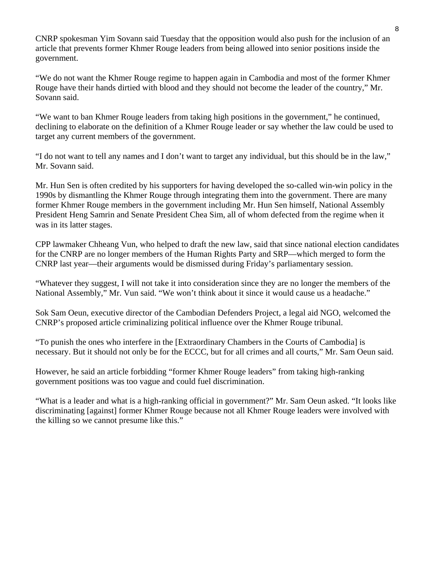CNRP spokesman Yim Sovann said Tuesday that the opposition would also push for the inclusion of an article that prevents former Khmer Rouge leaders from being allowed into senior positions inside the government.

"We do not want the Khmer Rouge regime to happen again in Cambodia and most of the former Khmer Rouge have their hands dirtied with blood and they should not become the leader of the country," Mr. Sovann said.

"We want to ban Khmer Rouge leaders from taking high positions in the government," he continued, declining to elaborate on the definition of a Khmer Rouge leader or say whether the law could be used to target any current members of the government.

"I do not want to tell any names and I don't want to target any individual, but this should be in the law," Mr. Sovann said.

Mr. Hun Sen is often credited by his supporters for having developed the so-called win-win policy in the 1990s by dismantling the Khmer Rouge through integrating them into the government. There are many former Khmer Rouge members in the government including Mr. Hun Sen himself, National Assembly President Heng Samrin and Senate President Chea Sim, all of whom defected from the regime when it was in its latter stages.

CPP lawmaker Chheang Vun, who helped to draft the new law, said that since national election candidates for the CNRP are no longer members of the Human Rights Party and SRP—which merged to form the CNRP last year—their arguments would be dismissed during Friday's parliamentary session.

"Whatever they suggest, I will not take it into consideration since they are no longer the members of the National Assembly," Mr. Vun said. "We won't think about it since it would cause us a headache."

Sok Sam Oeun, executive director of the Cambodian Defenders Project, a legal aid NGO, welcomed the CNRP's proposed article criminalizing political influence over the Khmer Rouge tribunal.

"To punish the ones who interfere in the [Extraordinary Chambers in the Courts of Cambodia] is necessary. But it should not only be for the ECCC, but for all crimes and all courts," Mr. Sam Oeun said.

However, he said an article forbidding "former Khmer Rouge leaders" from taking high-ranking government positions was too vague and could fuel discrimination.

"What is a leader and what is a high-ranking official in government?" Mr. Sam Oeun asked. "It looks like discriminating [against] former Khmer Rouge because not all Khmer Rouge leaders were involved with the killing so we cannot presume like this."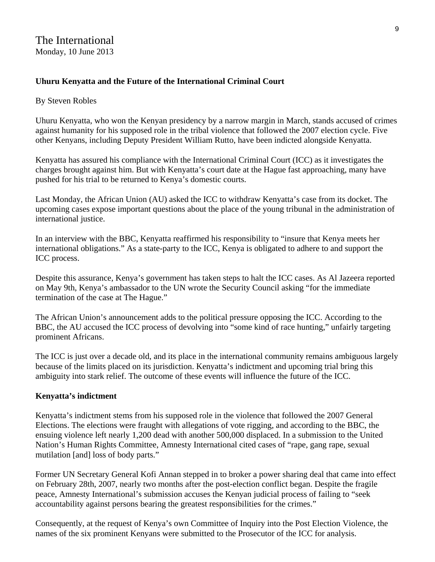### **Uhuru Kenyatta and the Future of the International Criminal Court**

#### By Steven Robles

Uhuru Kenyatta, who won the Kenyan presidency by a narrow margin in March, stands accused of crimes against humanity for his supposed role in the tribal violence that followed the 2007 election cycle. Five other Kenyans, including Deputy President William Rutto, have been indicted alongside Kenyatta.

Kenyatta has assured his compliance with the International Criminal Court (ICC) as it investigates the charges brought against him. But with Kenyatta's court date at the Hague fast approaching, many have pushed for his trial to be returned to Kenya's domestic courts.

Last Monday, the African Union (AU) asked the ICC to withdraw Kenyatta's case from its docket. The upcoming cases expose important questions about the place of the young tribunal in the administration of international justice.

In an interview with the BBC, Kenyatta reaffirmed his responsibility to "insure that Kenya meets her international obligations." As a state-party to the ICC, Kenya is obligated to adhere to and support the ICC process.

Despite this assurance, Kenya's government has taken steps to halt the ICC cases. As Al Jazeera reported on May 9th, Kenya's ambassador to the UN wrote the Security Council asking "for the immediate termination of the case at The Hague."

The African Union's announcement adds to the political pressure opposing the ICC. According to the BBC, the AU accused the ICC process of devolving into "some kind of race hunting," unfairly targeting prominent Africans.

The ICC is just over a decade old, and its place in the international community remains ambiguous largely because of the limits placed on its jurisdiction. Kenyatta's indictment and upcoming trial bring this ambiguity into stark relief. The outcome of these events will influence the future of the ICC.

#### **Kenyatta's indictment**

Kenyatta's indictment stems from his supposed role in the violence that followed the 2007 General Elections. The elections were fraught with allegations of vote rigging, and according to the BBC, the ensuing violence left nearly 1,200 dead with another 500,000 displaced. In a submission to the United Nation's Human Rights Committee, Amnesty International cited cases of "rape, gang rape, sexual mutilation [and] loss of body parts."

Former UN Secretary General Kofi Annan stepped in to broker a power sharing deal that came into effect on February 28th, 2007, nearly two months after the post-election conflict began. Despite the fragile peace, Amnesty International's submission accuses the Kenyan judicial process of failing to "seek accountability against persons bearing the greatest responsibilities for the crimes."

Consequently, at the request of Kenya's own Committee of Inquiry into the Post Election Violence, the names of the six prominent Kenyans were submitted to the Prosecutor of the ICC for analysis.